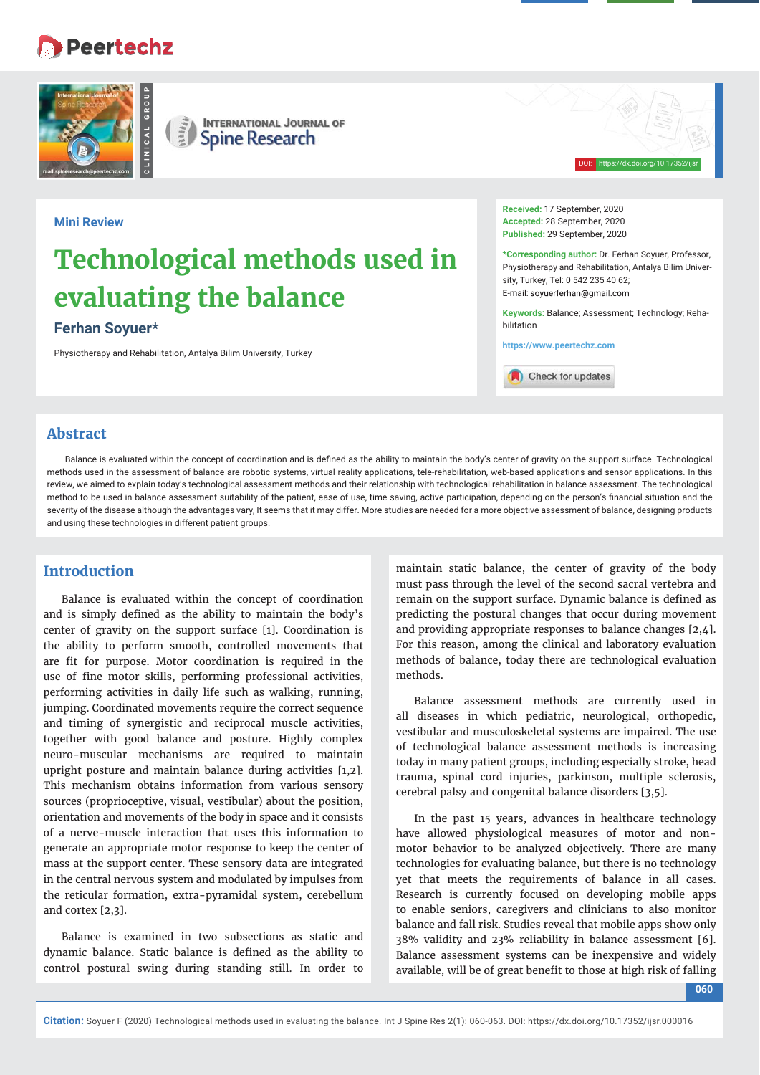# **Peertechz**



**INTERNATIONAL JOURNAL OF**  $\left(\frac{\vec{z}}{2}\right)$ **Spine Research** 

# **Mini Review**

# **Technological methods used in evaluating the balance**

# **Ferhan Soyuer\***

Physiotherapy and Rehabilitation, Antalya Bilim University, Turkey

**Received:** 17 September, 2020 **Accepted:** 28 September, 2020 **Published:** 29 September, 2020

**\*Corresponding author:** Dr. Ferhan Soyuer, Professor, Physiotherapy and Rehabilitation, Antalya Bilim University, Turkey, Tel: 0 542 235 40 62; E-mail: soyuerferhan@gmail.com

DOI: https://dx.doi.org/10.17352/ijsr

**Keywords:** Balance; Assessment; Technology; Rehabilitation

**https://www.peertechz.com**

Check for updates

# **Abstract**

Balance is evaluated within the concept of coordination and is defined as the ability to maintain the body's center of gravity on the support surface. Technological methods used in the assessment of balance are robotic systems, virtual reality applications, tele-rehabilitation, web-based applications and sensor applications. In this review, we aimed to explain today's technological assessment methods and their relationship with technological rehabilitation in balance assessment. The technological method to be used in balance assessment suitability of the patient, ease of use, time saving, active participation, depending on the person's financial situation and the severity of the disease although the advantages vary, It seems that it may differ. More studies are needed for a more objective assessment of balance, designing products and using these technologies in different patient groups.

# **Introduction**

Balance is evaluated within the concept of coordination and is simply defined as the ability to maintain the body's center of gravity on the support surface [1]. Coordination is the ability to perform smooth, controlled movements that are fit for purpose. Motor coordination is required in the use of fine motor skills, performing professional activities, performing activities in daily life such as walking, running, jumping. Coordinated movements require the correct sequence and timing of synergistic and reciprocal muscle activities, together with good balance and posture. Highly complex neuro-muscular mechanisms are required to maintain upright posture and maintain balance during activities [1,2]. This mechanism obtains information from various sensory sources (proprioceptive, visual, vestibular) about the position, orientation and movements of the body in space and it consists of a nerve-muscle interaction that uses this information to generate an appropriate motor response to keep the center of mass at the support center. These sensory data are integrated in the central nervous system and modulated by impulses from the reticular formation, extra-pyramidal system, cerebellum and cortex [2,3].

Balance is examined in two subsections as static and dynamic balance. Static balance is defined as the ability to control postural swing during standing still. In order to

maintain static balance, the center of gravity of the body must pass through the level of the second sacral vertebra and remain on the support surface. Dynamic balance is defined as predicting the postural changes that occur during movement and providing appropriate responses to balance changes [2,4]. For this reason, among the clinical and laboratory evaluation methods of balance, today there are technological evaluation methods.

Balance assessment methods are currently used in all diseases in which pediatric, neurological, orthopedic, vestibular and musculoskeletal systems are impaired. The use of technological balance assessment methods is increasing today in many patient groups, including especially stroke, head trauma, spinal cord injuries, parkinson, multiple sclerosis, cerebral palsy and congenital balance disorders [3,5].

In the past 15 years, advances in healthcare technology have allowed physiological measures of motor and nonmotor behavior to be analyzed objectively. There are many technologies for evaluating balance, but there is no technology yet that meets the requirements of balance in all cases. Research is currently focused on developing mobile apps to enable seniors, caregivers and clinicians to also monitor balance and fall risk. Studies reveal that mobile apps show only 38% validity and 23% reliability in balance assessment [6]. Balance assessment systems can be inexpensive and widely available, will be of great benefit to those at high risk of falling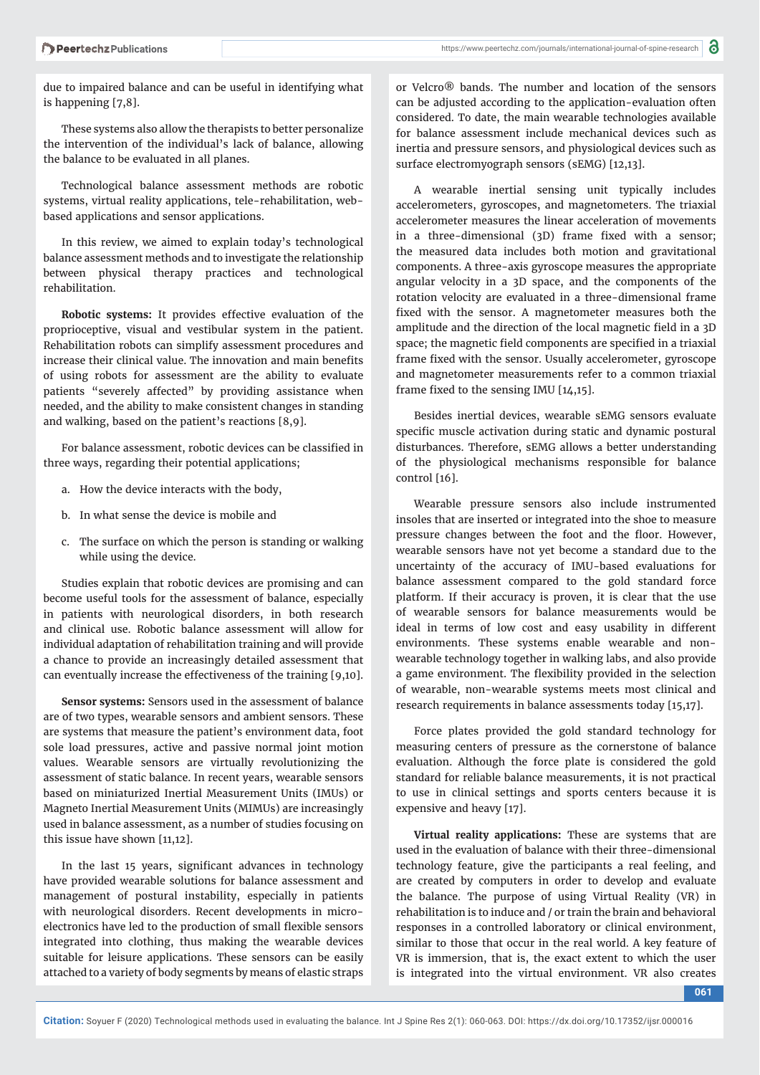due to impaired balance and can be useful in identifying what is happening [7,8].

These systems also allow the therapists to better personalize the intervention of the individual's lack of balance, allowing the balance to be evaluated in all planes.

Technological balance assessment methods are robotic systems, virtual reality applications, tele-rehabilitation, webbased applications and sensor applications.

In this review, we aimed to explain today's technological balance assessment methods and to investigate the relationship between physical therapy practices and technological rehabilitation.

**Robotic systems:** It provides effective evaluation of the proprioceptive, visual and vestibular system in the patient. Rehabilitation robots can simplify assessment procedures and increase their clinical value. The innovation and main benefits of using robots for assessment are the ability to evaluate patients "severely affected" by providing assistance when needed, and the ability to make consistent changes in standing and walking, based on the patient's reactions [8,9].

For balance assessment, robotic devices can be classified in three ways, regarding their potential applications;

- a. How the device interacts with the body,
- b. In what sense the device is mobile and
- c. The surface on which the person is standing or walking while using the device.

Studies explain that robotic devices are promising and can become useful tools for the assessment of balance, especially in patients with neurological disorders, in both research and clinical use. Robotic balance assessment will allow for individual adaptation of rehabilitation training and will provide a chance to provide an increasingly detailed assessment that can eventually increase the effectiveness of the training [9,10].

**Sensor systems:** Sensors used in the assessment of balance are of two types, wearable sensors and ambient sensors. These are systems that measure the patient's environment data, foot sole load pressures, active and passive normal joint motion values. Wearable sensors are virtually revolutionizing the assessment of static balance. In recent years, wearable sensors based on miniaturized Inertial Measurement Units (IMUs) or Magneto Inertial Measurement Units (MIMUs) are increasingly used in balance assessment, as a number of studies focusing on this issue have shown [11,12].

In the last 15 years, significant advances in technology have provided wearable solutions for balance assessment and management of postural instability, especially in patients with neurological disorders. Recent developments in microelectronics have led to the production of small flexible sensors integrated into clothing, thus making the wearable devices suitable for leisure applications. These sensors can be easily attached to a variety of body segments by means of elastic straps or Velcro® bands. The number and location of the sensors can be adjusted according to the application-evaluation often considered. To date, the main wearable technologies available for balance assessment include mechanical devices such as inertia and pressure sensors, and physiological devices such as surface electromyograph sensors (sEMG) [12,13].

A wearable inertial sensing unit typically includes accelerometers, gyroscopes, and magnetometers. The triaxial accelerometer measures the linear acceleration of movements in a three-dimensional (3D) frame fixed with a sensor; the measured data includes both motion and gravitational components. A three-axis gyroscope measures the appropriate angular velocity in a 3D space, and the components of the rotation velocity are evaluated in a three-dimensional frame fixed with the sensor. A magnetometer measures both the amplitude and the direction of the local magnetic field in a 3D space; the magnetic field components are specified in a triaxial frame fixed with the sensor. Usually accelerometer, gyroscope and magnetometer measurements refer to a common triaxial frame fixed to the sensing IMU  $[14, 15]$ .

Besides inertial devices, wearable sEMG sensors evaluate specific muscle activation during static and dynamic postural disturbances. Therefore, sEMG allows a better understanding of the physiological mechanisms responsible for balance control [16].

Wearable pressure sensors also include instrumented insoles that are inserted or integrated into the shoe to measure pressure changes between the foot and the floor. However, wearable sensors have not yet become a standard due to the uncertainty of the accuracy of IMU-based evaluations for balance assessment compared to the gold standard force platform. If their accuracy is proven, it is clear that the use of wearable sensors for balance measurements would be ideal in terms of low cost and easy usability in different environments. These systems enable wearable and nonwearable technology together in walking labs, and also provide a game environment. The flexibility provided in the selection of wearable, non-wearable systems meets most clinical and research requirements in balance assessments today [15,17].

Force plates provided the gold standard technology for measuring centers of pressure as the cornerstone of balance evaluation. Although the force plate is considered the gold standard for reliable balance measurements, it is not practical to use in clinical settings and sports centers because it is expensive and heavy [17].

**Virtual reality applications:** These are systems that are used in the evaluation of balance with their three-dimensional technology feature, give the participants a real feeling, and are created by computers in order to develop and evaluate the balance. The purpose of using Virtual Reality (VR) in rehabilitation is to induce and / or train the brain and behavioral responses in a controlled laboratory or clinical environment, similar to those that occur in the real world. A key feature of VR is immersion, that is, the exact extent to which the user is integrated into the virtual environment. VR also creates

**061**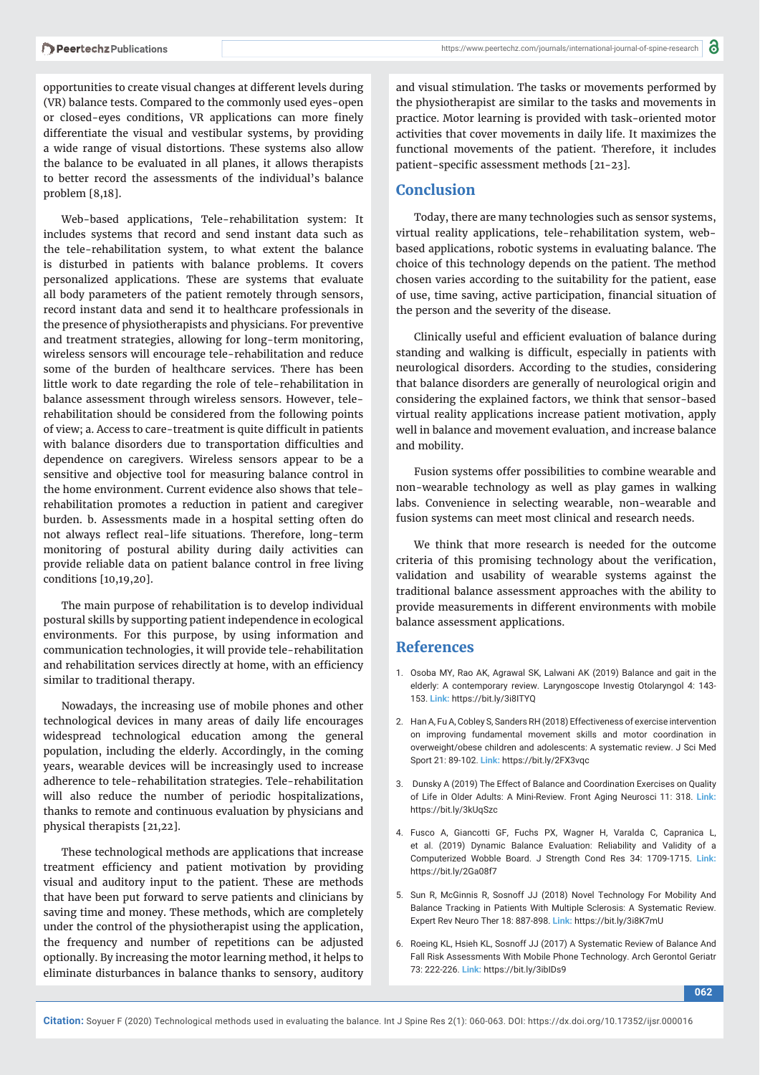opportunities to create visual changes at different levels during (VR) balance tests. Compared to the commonly used eyes-open or closed-eyes conditions, VR applications can more finely differentiate the visual and vestibular systems, by providing a wide range of visual distortions. These systems also allow the balance to be evaluated in all planes, it allows therapists to better record the assessments of the individual's balance problem [8,18].

Web-based applications, Tele-rehabilitation system: It includes systems that record and send instant data such as the tele-rehabilitation system, to what extent the balance is disturbed in patients with balance problems. It covers personalized applications. These are systems that evaluate all body parameters of the patient remotely through sensors, record instant data and send it to healthcare professionals in the presence of physiotherapists and physicians. For preventive and treatment strategies, allowing for long-term monitoring, wireless sensors will encourage tele-rehabilitation and reduce some of the burden of healthcare services. There has been little work to date regarding the role of tele-rehabilitation in balance assessment through wireless sensors. However, telerehabilitation should be considered from the following points of view; a. Access to care-treatment is quite difficult in patients with balance disorders due to transportation difficulties and dependence on caregivers. Wireless sensors appear to be a sensitive and objective tool for measuring balance control in the home environment. Current evidence also shows that telerehabilitation promotes a reduction in patient and caregiver burden. b. Assessments made in a hospital setting often do not always reflect real-life situations. Therefore, long-term monitoring of postural ability during daily activities can provide reliable data on patient balance control in free living conditions [10,19,20].

The main purpose of rehabilitation is to develop individual postural skills by supporting patient independence in ecological environments. For this purpose, by using information and communication technologies, it will provide tele-rehabilitation and rehabilitation services directly at home, with an efficiency similar to traditional therapy.

Nowadays, the increasing use of mobile phones and other technological devices in many areas of daily life encourages widespread technological education among the general population, including the elderly. Accordingly, in the coming years, wearable devices will be increasingly used to increase adherence to tele-rehabilitation strategies. Tele-rehabilitation will also reduce the number of periodic hospitalizations, thanks to remote and continuous evaluation by physicians and physical therapists [21,22].

These technological methods are applications that increase treatment efficiency and patient motivation by providing visual and auditory input to the patient. These are methods that have been put forward to serve patients and clinicians by saving time and money. These methods, which are completely under the control of the physiotherapist using the application, the frequency and number of repetitions can be adjusted optionally. By increasing the motor learning method, it helps to eliminate disturbances in balance thanks to sensory, auditory

and visual stimulation. The tasks or movements performed by the physiotherapist are similar to the tasks and movements in practice. Motor learning is provided with task-oriented motor activities that cover movements in daily life. It maximizes the functional movements of the patient. Therefore, it includes patient-specific assessment methods [21-23].

#### **Conclusion**

Today, there are many technologies such as sensor systems, virtual reality applications, tele-rehabilitation system, webbased applications, robotic systems in evaluating balance. The choice of this technology depends on the patient. The method chosen varies according to the suitability for the patient, ease of use, time saving, active participation, financial situation of the person and the severity of the disease.

Clinically useful and efficient evaluation of balance during standing and walking is difficult, especially in patients with neurological disorders. According to the studies, considering that balance disorders are generally of neurological origin and considering the explained factors, we think that sensor-based virtual reality applications increase patient motivation, apply well in balance and movement evaluation, and increase balance and mobility.

Fusion systems offer possibilities to combine wearable and non-wearable technology as well as play games in walking labs. Convenience in selecting wearable, non-wearable and fusion systems can meet most clinical and research needs.

We think that more research is needed for the outcome criteria of this promising technology about the verification, validation and usability of wearable systems against the traditional balance assessment approaches with the ability to provide measurements in different environments with mobile balance assessment applications.

#### **References**

- 1. Osoba MY, Rao AK, Agrawal SK, Lalwani AK (2019) Balance and gait in the elderly: A contemporary review. Laryngoscope Investig Otolaryngol 4: 143- 153. **Link:** https://bit.ly/3i8ITYQ
- 2. Han A, Fu A, Cobley S, Sanders RH (2018) Effectiveness of exercise intervention on improving fundamental movement skills and motor coordination in overweight/obese children and adolescents: A systematic review. J Sci Med Sport 21: 89-102. **Link:** https://bit.ly/2FX3vqc
- 3. Dunsky A (2019) The Effect of Balance and Coordination Exercises on Quality of Life in Older Adults: A Mini-Review. Front Aging Neurosci 11: 318. **Link:** https://bit.ly/3kUqSzc
- 4. Fusco A, Giancotti GF, Fuchs PX, Wagner H, Varalda C, Capranica L, et al. (2019) Dynamic Balance Evaluation: Reliability and Validity of a Computerized Wobble Board. J Strength Cond Res 34: 1709-1715. **Link:** https://bit.ly/2Ga08f7
- 5. Sun R, McGinnis R, Sosnoff JJ (2018) Novel Technology For Mobility And Balance Tracking in Patients With Multiple Sclerosis: A Systematic Review. Expert Rev Neuro Ther 18: 887-898. **Link:** https://bit.ly/3i8K7mU
- 6. Roeing KL, Hsieh KL, Sosnoff JJ (2017) A Systematic Review of Balance And Fall Risk Assessments With Mobile Phone Technology. Arch Gerontol Geriatr 73: 222-226. **Link:** https://bit.ly/3ibIDs9

**062**